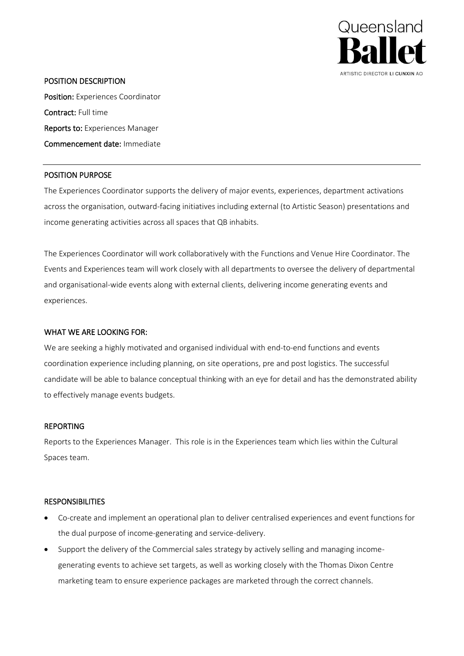

### POSITION DESCRIPTION

Position: Experiences Coordinator Contract: Full time Reports to: Experiences Manager Commencement date: Immediate

# POSITION PURPOSE

The Experiences Coordinator supports the delivery of major events, experiences, department activations across the organisation, outward-facing initiatives including external (to Artistic Season) presentations and income generating activities across all spaces that QB inhabits.

The Experiences Coordinator will work collaboratively with the Functions and Venue Hire Coordinator. The Events and Experiences team will work closely with all departments to oversee the delivery of departmental and organisational-wide events along with external clients, delivering income generating events and experiences.

# WHAT WE ARE LOOKING FOR:

We are seeking a highly motivated and organised individual with end-to-end functions and events coordination experience including planning, on site operations, pre and post logistics. The successful candidate will be able to balance conceptual thinking with an eye for detail and has the demonstrated ability to effectively manage events budgets.

# REPORTING

Reports to the Experiences Manager. This role is in the Experiences team which lies within the Cultural Spaces team.

# **RESPONSIBILITIES**

- Co-create and implement an operational plan to deliver centralised experiences and event functions for the dual purpose of income-generating and service-delivery.
- Support the delivery of the Commercial sales strategy by actively selling and managing incomegenerating events to achieve set targets, as well as working closely with the Thomas Dixon Centre marketing team to ensure experience packages are marketed through the correct channels.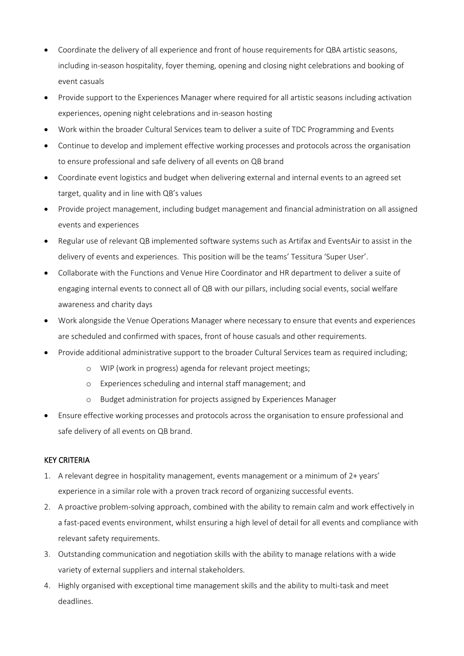- Coordinate the delivery of all experience and front of house requirements for QBA artistic seasons, including in-season hospitality, foyer theming, opening and closing night celebrations and booking of event casuals
- Provide support to the Experiences Manager where required for all artistic seasons including activation experiences, opening night celebrations and in-season hosting
- Work within the broader Cultural Services team to deliver a suite of TDC Programming and Events
- Continue to develop and implement effective working processes and protocols across the organisation to ensure professional and safe delivery of all events on QB brand
- Coordinate event logistics and budget when delivering external and internal events to an agreed set target, quality and in line with QB's values
- Provide project management, including budget management and financial administration on all assigned events and experiences
- Regular use of relevant QB implemented software systems such as Artifax and EventsAir to assist in the delivery of events and experiences. This position will be the teams' Tessitura 'Super User'.
- Collaborate with the Functions and Venue Hire Coordinator and HR department to deliver a suite of engaging internal events to connect all of QB with our pillars, including social events, social welfare awareness and charity days
- Work alongside the Venue Operations Manager where necessary to ensure that events and experiences are scheduled and confirmed with spaces, front of house casuals and other requirements.
- Provide additional administrative support to the broader Cultural Services team as required including;
	- o WIP (work in progress) agenda for relevant project meetings;
	- o Experiences scheduling and internal staff management; and
	- o Budget administration for projects assigned by Experiences Manager
- Ensure effective working processes and protocols across the organisation to ensure professional and safe delivery of all events on QB brand.

# KEY CRITERIA

- 1. A relevant degree in hospitality management, events management or a minimum of 2+ years' experience in a similar role with a proven track record of organizing successful events.
- 2. A proactive problem-solving approach, combined with the ability to remain calm and work effectively in a fast-paced events environment, whilst ensuring a high level of detail for all events and compliance with relevant safety requirements.
- 3. Outstanding communication and negotiation skills with the ability to manage relations with a wide variety of external suppliers and internal stakeholders.
- 4. Highly organised with exceptional time management skills and the ability to multi-task and meet deadlines.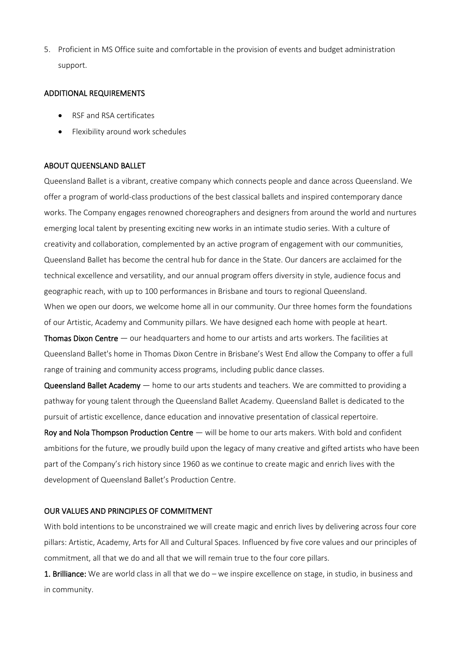5. Proficient in MS Office suite and comfortable in the provision of events and budget administration support.

### ADDITIONAL REQUIREMENTS

- RSF and RSA certificates
- Flexibility around work schedules

# ABOUT QUEENSLAND BALLET

Queensland Ballet is a vibrant, creative company which connects people and dance across Queensland. We offer a program of world-class productions of the best classical ballets and inspired contemporary dance works. The Company engages renowned choreographers and designers from around the world and nurtures emerging local talent by presenting exciting new works in an intimate studio series. With a culture of creativity and collaboration, complemented by an active program of engagement with our communities, Queensland Ballet has become the central hub for dance in the State. Our dancers are acclaimed for the technical excellence and versatility, and our annual program offers diversity in style, audience focus and geographic reach, with up to 100 performances in Brisbane and tours to regional Queensland. When we open our doors, we welcome home all in our community. Our three homes form the foundations of our Artistic, Academy and Community pillars. We have designed each home with people at heart.

**Thomas Dixon Centre**  $-$  our headquarters and home to our artists and arts workers. The facilities at Queensland Ballet's home in Thomas Dixon Centre in Brisbane's West End allow the Company to offer a full range of training and community access programs, including public dance classes.

Queensland Ballet Academy — home to our arts students and teachers. We are committed to providing a pathway for young talent through the Queensland Ballet Academy. Queensland Ballet is dedicated to the pursuit of artistic excellence, dance education and innovative presentation of classical repertoire.

Roy and Nola Thompson Production Centre — will be home to our arts makers. With bold and confident ambitions for the future, we proudly build upon the legacy of many creative and gifted artists who have been part of the Company's rich history since 1960 as we continue to create magic and enrich lives with the development of Queensland Ballet's Production Centre.

### OUR VALUES AND PRINCIPLES OF COMMITMENT

With bold intentions to be unconstrained we will create magic and enrich lives by delivering across four core pillars: Artistic, Academy, Arts for All and Cultural Spaces. Influenced by five core values and our principles of commitment, all that we do and all that we will remain true to the four core pillars.

1. Brilliance: We are world class in all that we do – we inspire excellence on stage, in studio, in business and in community.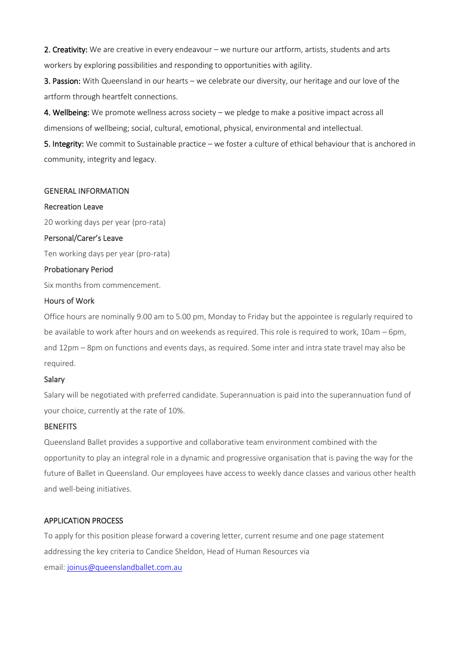2. Creativity: We are creative in every endeavour – we nurture our artform, artists, students and arts workers by exploring possibilities and responding to opportunities with agility.

3. Passion: With Queensland in our hearts – we celebrate our diversity, our heritage and our love of the artform through heartfelt connections.

4. Wellbeing: We promote wellness across society – we pledge to make a positive impact across all dimensions of wellbeing; social, cultural, emotional, physical, environmental and intellectual.

5. Integrity: We commit to Sustainable practice – we foster a culture of ethical behaviour that is anchored in community, integrity and legacy.

#### GENERAL INFORMATION

#### Recreation Leave

20 working days per year (pro-rata)

### Personal/Carer's Leave

Ten working days per year (pro-rata)

### Probationary Period

Six months from commencement.

### Hours of Work

Office hours are nominally 9.00 am to 5.00 pm, Monday to Friday but the appointee is regularly required to be available to work after hours and on weekends as required. This role is required to work, 10am – 6pm, and 12pm – 8pm on functions and events days, as required. Some inter and intra state travel may also be required.

#### Salary

Salary will be negotiated with preferred candidate. Superannuation is paid into the superannuation fund of your choice, currently at the rate of 10%.

#### **BENEFITS**

Queensland Ballet provides a supportive and collaborative team environment combined with the opportunity to play an integral role in a dynamic and progressive organisation that is paving the way for the future of Ballet in Queensland. Our employees have access to weekly dance classes and various other health and well-being initiatives.

# APPLICATION PROCESS

To apply for this position please forward a covering letter, current resume and one page statement addressing the key criteria to Candice Sheldon, Head of Human Resources via email: [joinus@queenslandballet.com.au](mailto:joinus@queenslandballet.com.au)